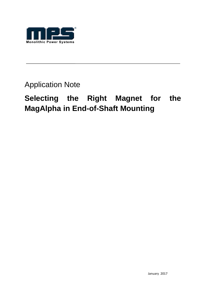

# Application Note

# **Selecting the Right Magnet for the MagAlpha in End-of-Shaft Mounting**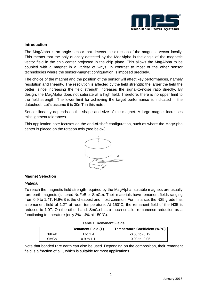

## **Introduction**

The MagAlpha is an angle sensor that detects the direction of the magnetic vector locally. This means that the only quantity detected by the MagAlpha is the angle of the magnetic vector field in the chip center projected in the chip plane. This allows the MagAlpha to be coupled with a magnet in a variety of ways, in contrast to most of the other sensor technologies where the sensor-magnet configuration is imposed precisely.

The choice of the magnet and the position of the sensor will affect key performances, namely resolution and linearity. The resolution is affected by the field strength: the larger the field the better, since increasing the field strength increases the signal-to-noise ratio directly. By design, the MagAlpha does not saturate at a high field. Therefore, there is no upper limit to the field strength. The lower limit for achieving the target performance is indicated in the datasheet. Let's assume it is 30mT in this note..

Sensor linearity depends on the shape and size of the magnet. A large magnet increases misalignment tolerances.

This application note focuses on the end-of-shaft configuration, such as where the MagAlpha center is placed on the rotation axis (see below).



## **Magnet Selection**

#### *Material*

To reach the magnetic field strength required by the MagAlpha, suitable magnets are usually rare earth magnets (sintered NdFeB or SmCo). Their materials have remanent fields ranging from 0.9 to 1.4T. NdFeB is the cheapest and most common. For instance, the N35 grade has a remanent field of 1.2T at room temperature. At 150°C, the remanent field of the N35 is reduced to 1.0T. On the other hand, SmCo has a much smaller remanence reduction as a functioning temperature (only 3% - 4% at 150°C).

|       | <b>Remanent Field (T)</b> | Temperature Coefficient (%/°C) |
|-------|---------------------------|--------------------------------|
| NdFeB | 1 to 1.4                  | $-0.08$ to $-0.12$             |
| SmCo  | $0.9 \text{ to } 1.1$     | $-0.03$ to $-0.05$             |

Note that bonded rare earth can also be used. Depending on the composition, their remanent field is a fraction of a T, which is suitable for most applications.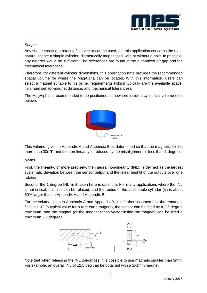

## *Shape*

Any shape creating a rotating field vector can be used, but this application concerns the most natural shape: a simple cylinder, diametrically magnetized, with or without a hole. In principle, any cylinder would be sufficient. The differences are found in the authorized air gap and the mechanical tolerances.

Therefore, for different cylinder dimensions, this application note provides the recommended spatial volume for where the MagAlpha can be located. With this information, users can select a magnet suitable to his or her requirements (which typically are the available space, minimum sensor-magnet distance, and mechanical tolerances).

The MagAlpha is recommended to be positioned somewhere inside a cylindrical volume (see below).



This volume, given in Appendix A and Appendix B, is determined so that the magnetic field is more than 30mT, and the non-linearity introduced by the misalignment is less than 1 degree.

## **Notes**

First, the linearity, or more precisely, the integral non-linearity (INL), is defined as the largest systematic deviation between the sensor output and the linear best fit of the outputs over one rotation.

Second, the 1 degree INL limit taken here is optimum. For many applications where the INL is not critical, this limit can be relaxed, and the radius of the acceptable cylinder (*rh*) is about 50% larger than in Appendix A and Appendix B.

For the volume given in Appendix A and Appendix B, it is further assumed that the remanent field is 1.0T (a typical value for a rare earth magnet), the sensor can be tilted by a 2.5 degree maximum, and the magnet (or the magnetization vector inside the magnet) can be tilted a maximum 2.5 degrees.



Note that when releasing the INL tolerances, it is possible to use magnets smaller than 3mm. For example, an overall INL of  $\pm 2.5$  deg can be obtained with a 2x1mm magnet.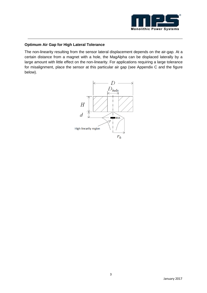

## **Optimum Air Gap for High Lateral Tolerance**

The non-linearity resulting from the sensor lateral displacement depends on the air-gap. At a certain distance from a magnet with a hole, the MagAlpha can be displaced laterally by a large amount with little effect on the non-linearity. For applications requiring a large tolerance for misalignment, place the sensor at this particular air gap (see Appendix C and the figure below).

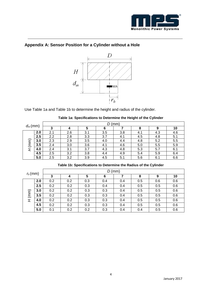

# **Appendix A: Sensor Position for a Cylinder without a Hole**



Use Table 1a and Table 1b to determine the height and radius of the cylinder.

| $d_m$ (mm) |     | $D$ (mm) |     |     |     |     |     |     |     |  |
|------------|-----|----------|-----|-----|-----|-----|-----|-----|-----|--|
|            |     | ≏        |     | э   | 6   |     | 8   | 9   | 10  |  |
| (mm)<br>エ  | 2.0 | 2.1      | 2.6 | 3.1 | 3.5 | 3.8 | 4.1 | 4.3 | 4.6 |  |
|            | 2.5 | 2.2      | 2.8 | 3.3 | 3.7 | 4.1 | 4.5 | 4.8 | 5.1 |  |
|            | 3.0 | 2.3      | 2.9 | 3.5 | 4.0 | 4.4 | 4.8 | 5.2 | 5.5 |  |
|            | 3.5 | 2.4      | 3.0 | 3.6 | 4.1 | 4.6 | 5.0 | 5.5 | 5.9 |  |
|            | 4.0 | 2.4      | 3.1 | 3.7 | 4.3 | 4.8 | 5.3 | 5.7 | 6.1 |  |
|            | 4.5 | 2.5      | 3.2 | 3.8 | 4.4 | 4.9 | 5.4 | 5.9 | 6.4 |  |
|            | 5.0 | 2.5      | 3.2 | 3.9 | 4.5 | 5.1 | 5.6 | 6.1 | 6.6 |  |

## **Table 1a: Specifications to Determine the Height of the Cylinder**

| $r_h$ (mm) |     | $D$ (mm) |     |     |     |     |     |     |     |  |  |
|------------|-----|----------|-----|-----|-----|-----|-----|-----|-----|--|--|
|            |     | 3        | 4   | 5   | 6   |     | 8   | 9   | 10  |  |  |
|            | 2.0 | 0.2      | 0.2 | 0.3 | 0.4 | 0.4 | 0.5 | 0.6 | 0.6 |  |  |
| (mm)       | 2.5 | 0.2      | 0.2 | 0.3 | 0.4 | 0.4 | 0.5 | 0.5 | 0.6 |  |  |
|            | 3.0 | 0.2      | 0.2 | 0.3 | 0.3 | 0.4 | 0.5 | 0.5 | 0.6 |  |  |
|            | 3.5 | 0.2      | 0.2 | 0.3 | 0.3 | 0.4 | 0.5 | 0.5 | 0.6 |  |  |
| ェ          | 4.0 | 0.2      | 0.2 | 0.3 | 0.3 | 0.4 | 0.5 | 0.5 | 0.6 |  |  |
|            | 4.5 | 0.2      | 0.2 | 0.3 | 0.3 | 0.4 | 0.5 | 0.5 | 0.6 |  |  |
|            | 5.0 | 0.1      | 0.2 | 0.2 | 0.3 | 0.4 | 0.4 | 0.5 | 0.6 |  |  |

## **Table 1b: Specifications to Determine the Radius of the Cylinder**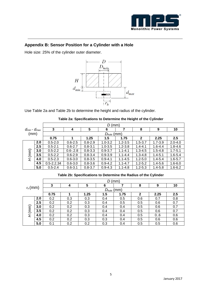

# **Appendix B: Sensor Position for a Cylinder with a Hole**

Hole size: 25% of the cylinder outer diameter.



Use Table 2a and Table 2b to determine the height and radius of the cylinder.

|                       |     | $D$ (mm)       |                 |             |             |             |              |             |             |  |  |
|-----------------------|-----|----------------|-----------------|-------------|-------------|-------------|--------------|-------------|-------------|--|--|
| $d_{min}$ - $d_{max}$ |     | 3              | 4               | 5           | 6           | 7           | 8            | 9           | 10          |  |  |
| (mm)                  |     |                | $D_{hole}$ (mm) |             |             |             |              |             |             |  |  |
|                       |     | 0.75           | 1               | 1.25        | 1.5         | 1.75        | $\mathbf{2}$ | 2.25        | 2.5         |  |  |
| (mm)<br>H             | 2.0 | $0.5 - 2.0$    | $0.6 - 2.5$     | $0.8 - 2.9$ | $1.0 - 3.2$ | $1.2 - 3.5$ | $1.5 - 3.7$  | $1.7 - 3.9$ | $2.0 - 4.0$ |  |  |
|                       | 2.5 | $0.5 - 2.1$    | $0.6 - 2.7$     | $0.8 - 3.1$ | $1.0 - 3.5$ | $1.2 - 3.8$ | $1.4 - 4.1$  | $1.6 - 4.4$ | $1.8 - 4.6$ |  |  |
|                       | 3.0 | $0.5 - 2.2$    | $0.6 - 2.8$     | $0.8 - 3.3$ | $0.9 - 3.7$ | $1.1 - 4.1$ | $1.3 - 4.5$  | $1.5 - 4.8$ | $1.7 - 5.1$ |  |  |
|                       | 3.5 | $0.5 - 2.2$    | $0.6 - 2.9$     | $0.8 - 3.4$ | $0.9 - 3.9$ | $1.1 - 4.4$ | $1.3 - 4.8$  | $1.4 - 5.1$ | $1.6 - 5.4$ |  |  |
|                       | 4.0 | $0.5 - 2.3$    | $0.6 - 3.0$     | $0.8 - 3.5$ | $0.9 - 4.1$ | $1.1 - 4.5$ | $1.2 - 5.0$  | $1.4 - 5.4$ | $1.6 - 5.7$ |  |  |
|                       | 4.5 | $0.5 - 2.2.34$ | $0.6 - 3.0$     | $0.8 - 3.6$ | $0.9 - 4.2$ | $1.1 - 4.7$ | $1.2 - 5.2$  | $1.4 - 5.6$ | $1.6 - 6.0$ |  |  |
|                       | 5.0 | $0.5 - 2.4$    | $0.6 - 3.1$     | $0.8 - 3.7$ | $0.9 - 4.3$ | $1.1 - 4.8$ | $1.2 - 5.3$  | $1.4 - 5.8$ | $1.6 - 6.2$ |  |  |

## **Table 2a: Specifications to Determine the Height of the Cylinder**

| $r_h$ (mm) |     | $D$ (mm)           |     |      |     |      |     |      |     |  |  |
|------------|-----|--------------------|-----|------|-----|------|-----|------|-----|--|--|
|            |     | 3                  | 4   | 5    | 6   |      | 8   | 9    | 10  |  |  |
|            |     | $D_{hole}$<br>(mm) |     |      |     |      |     |      |     |  |  |
|            |     | 0.75               |     | 1.25 | 1.5 | 1.75 | 2   | 2.25 | 2.5 |  |  |
| (mm)<br>エ  | 2.0 | 0.2                | 0.3 | 0.3  | 0.4 | 0.5  | 0.6 | 0.7  | 0.8 |  |  |
|            | 2.5 | 0.2                | 0.2 | 0.3  | 0.4 | 0.5  | 0.5 | 0.6  | 0.7 |  |  |
|            | 3.0 | 0.2                | 0.2 | 0.3  | 0.4 | 0.4  | 0.5 | 0.6  | 0.7 |  |  |
|            | 3.5 | 0.2                | 0.2 | 0.3  | 0.4 | 0.4  | 0.5 | 0.6  | 0.7 |  |  |
|            | 4.0 | 0.2                | 0.2 | 0.3  | 0.4 | 0.4  | 0.5 | 06   | 0.6 |  |  |
|            | 4.5 | 0.2                | 0.2 | 0.3  | 0.3 | 0.4  | 0.5 | 0.6  | 0.6 |  |  |
|            | 5.0 | 0.1                | 0.2 | 0.2  | 0.3 | 0.4  | 0.5 | 0.5  | 0.6 |  |  |

## **Table 2b: Specifications to Determine the Radius of the Cylinder**